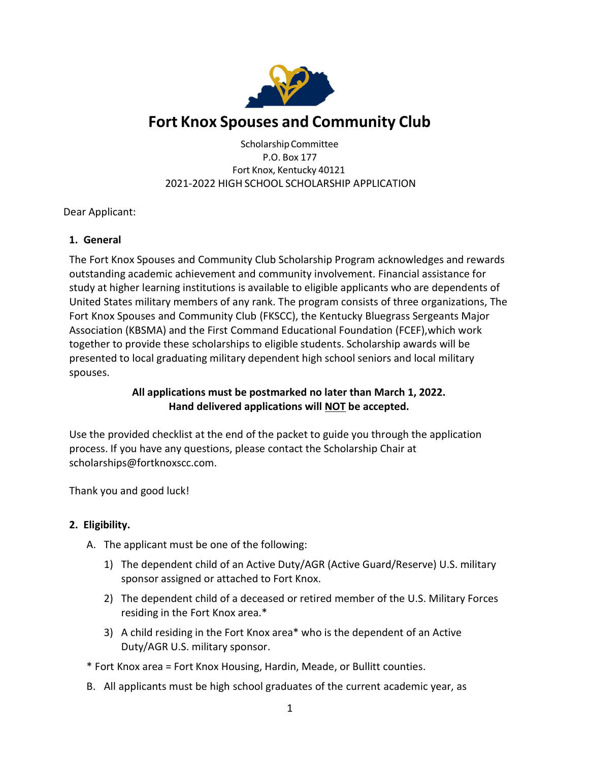

## Fort Knox Spouses and Community Club

Scholarship Committee P.O. Box 177 Fort Knox, Kentucky 40121 2021-2022 HIGH SCHOOL SCHOLARSHIP APPLICATION

Dear Applicant:

### 1. General

The Fort Knox Spouses and Community Club Scholarship Program acknowledges and rewards outstanding academic achievement and community involvement. Financial assistance for study at higher learning institutions is available to eligible applicants who are dependents of United States military members of any rank. The program consists of three organizations, The Fort Knox Spouses and Community Club (FKSCC), the Kentucky Bluegrass Sergeants Major Association (KBSMA) and the First Command Educational Foundation (FCEF), which work together to provide these scholarships to eligible students. Scholarship awards will be presented to local graduating military dependent high school seniors and local military spouses.

### All applications must be postmarked no later than March 1, 2022. Hand delivered applications will NOT be accepted.

Use the provided checklist at the end of the packet to guide you through the application process. If you have any questions, please contact the Scholarship Chair at scholarships@fortknoxscc.com.

Thank you and good luck!

### 2. Eligibility.

- A. The applicant must be one of the following:
	- 1) The dependent child of an Active Duty/AGR (Active Guard/Reserve) U.S. military sponsor assigned or attached to Fort Knox.
	- 2) The dependent child of a deceased or retired member of the U.S. Military Forces residing in the Fort Knox area.\*
	- 3) A child residing in the Fort Knox area\* who is the dependent of an Active Duty/AGR U.S. military sponsor.

\* Fort Knox area = Fort Knox Housing, Hardin, Meade, or Bullitt counties.

B. All applicants must be high school graduates of the current academic year, as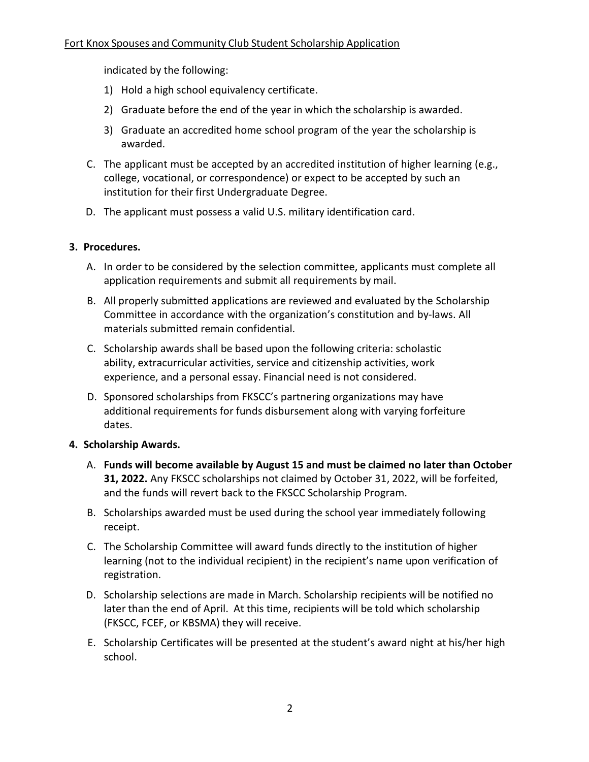indicated by the following:

- 1) Hold a high school equivalency certificate.
- 2) Graduate before the end of the year in which the scholarship is awarded.
- 3) Graduate an accredited home school program of the year the scholarship is awarded.
- C. The applicant must be accepted by an accredited institution of higher learning (e.g., college, vocational, or correspondence) or expect to be accepted by such an institution for their first Undergraduate Degree.
- D. The applicant must possess a valid U.S. military identification card.

### 3. Procedures.

- A. In order to be considered by the selection committee, applicants must complete all application requirements and submit all requirements by mail.
- B. All properly submitted applications are reviewed and evaluated by the Scholarship Committee in accordance with the organization's constitution and by-laws. All materials submitted remain confidential.
- C. Scholarship awards shall be based upon the following criteria: scholastic ability, extracurricular activities, service and citizenship activities, work experience, and a personal essay. Financial need is not considered.
- D. Sponsored scholarships from FKSCC's partnering organizations may have additional requirements for funds disbursement along with varying forfeiture dates.

#### 4. Scholarship Awards.

- A. Funds will become available by August 15 and must be claimed no later than October 31, 2022. Any FKSCC scholarships not claimed by October 31, 2022, will be forfeited, and the funds will revert back to the FKSCC Scholarship Program.
- B. Scholarships awarded must be used during the school year immediately following receipt.
- C. The Scholarship Committee will award funds directly to the institution of higher learning (not to the individual recipient) in the recipient's name upon verification of registration.
- D. Scholarship selections are made in March. Scholarship recipients will be notified no later than the end of April. At this time, recipients will be told which scholarship (FKSCC, FCEF, or KBSMA) they will receive.
- E. Scholarship Certificates will be presented at the student's award night at his/her high school.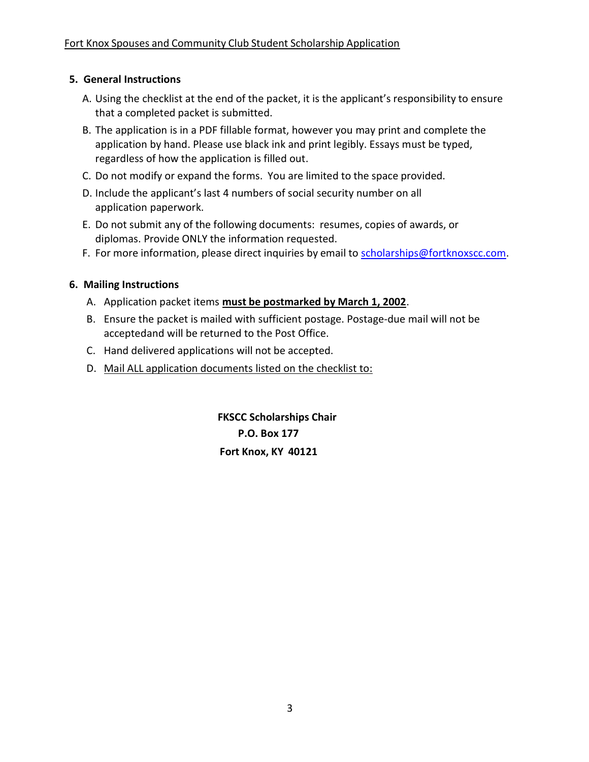### 5. General Instructions

- A. Using the checklist at the end of the packet, it is the applicant's responsibility to ensure that a completed packet is submitted.
- B. The application is in a PDF fillable format, however you may print and complete the application by hand. Please use black ink and print legibly. Essays must be typed, regardless of how the application is filled out.
- C. Do not modify or expand the forms. You are limited to the space provided.
- D. Include the applicant's last 4 numbers of social security number on all application paperwork.
- E. Do not submit any of the following documents: resumes, copies of awards, or diplomas. Provide ONLY the information requested.
- F. For more information, please direct inquiries by email to scholarships@fortknoxscc.com.

### 6. Mailing Instructions

- A. Application packet items must be postmarked by March 1, 2002.
- B. Ensure the packet is mailed with sufficient postage. Postage-due mail will not be accepted and will be returned to the Post Office.
- C. Hand delivered applications will not be accepted.
- D. Mail ALL application documents listed on the checklist to:

 FKSCC Scholarships Chair P.O. Box 177 Fort Knox, KY 40121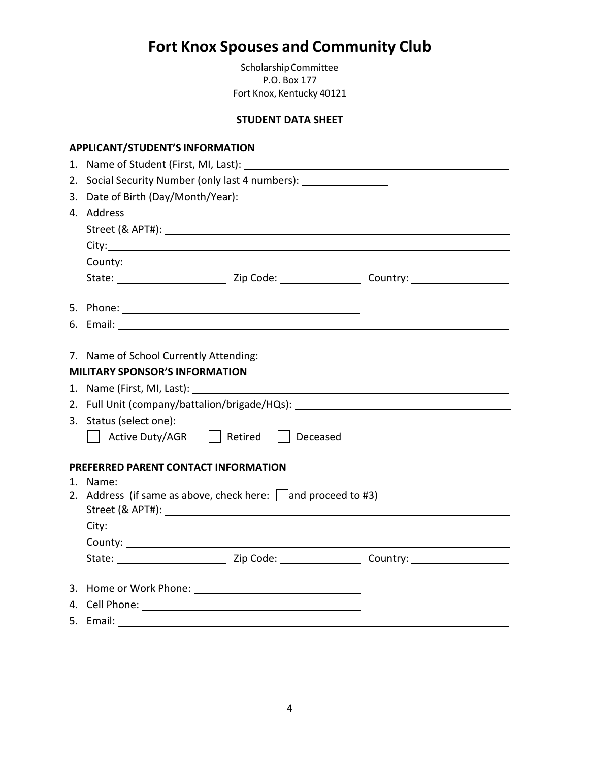# Fort Knox Spouses and Community Club

Scholarship Committee P.O. Box 177 Fort Knox, Kentucky 40121

### STUDENT DATA SHEET

| <b>APPLICANT/STUDENT'S INFORMATION</b>                                                                        |  |  |  |
|---------------------------------------------------------------------------------------------------------------|--|--|--|
| 1. Name of Student (First, MI, Last): 1. 2008 1. 2008 1. 2008 1. 2008 1. 2008 1. 2009 1. 2008 1. 2009 1. 2009 |  |  |  |
| 2. Social Security Number (only last 4 numbers):                                                              |  |  |  |
|                                                                                                               |  |  |  |
| 4. Address                                                                                                    |  |  |  |
|                                                                                                               |  |  |  |
|                                                                                                               |  |  |  |
|                                                                                                               |  |  |  |
|                                                                                                               |  |  |  |
|                                                                                                               |  |  |  |
|                                                                                                               |  |  |  |
|                                                                                                               |  |  |  |
|                                                                                                               |  |  |  |
| <b>MILITARY SPONSOR'S INFORMATION</b>                                                                         |  |  |  |
|                                                                                                               |  |  |  |
| 2. Full Unit (company/battalion/brigade/HQs): __________________________________                              |  |  |  |
| 3. Status (select one):                                                                                       |  |  |  |
| Active Duty/AGR   Retired   Deceased                                                                          |  |  |  |
|                                                                                                               |  |  |  |
| PREFERRED PARENT CONTACT INFORMATION                                                                          |  |  |  |
|                                                                                                               |  |  |  |
| 2. Address (if same as above, check here: $\Box$ and proceed to #3)                                           |  |  |  |
|                                                                                                               |  |  |  |
|                                                                                                               |  |  |  |
|                                                                                                               |  |  |  |
|                                                                                                               |  |  |  |
|                                                                                                               |  |  |  |
|                                                                                                               |  |  |  |
| 5. Email:                                                                                                     |  |  |  |
|                                                                                                               |  |  |  |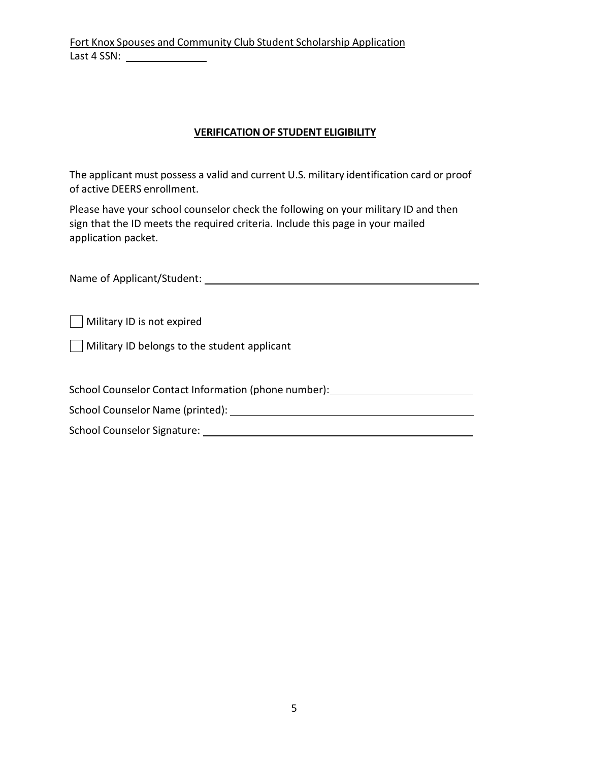### VERIFICATION OF STUDENT ELIGIBILITY

The applicant must possess a valid and current U.S. military identification card or proof of active DEERS enrollment.

Please have your school counselor check the following on your military ID and then sign that the ID meets the required criteria. Include this page in your mailed application packet.

| Name of Applicant/Student: |  |
|----------------------------|--|
|                            |  |

Military ID is not expired

 $\Box$  Military ID belongs to the student applicant

School Counselor Contact Information (phone number):

School Counselor Name (printed):

School Counselor Signature: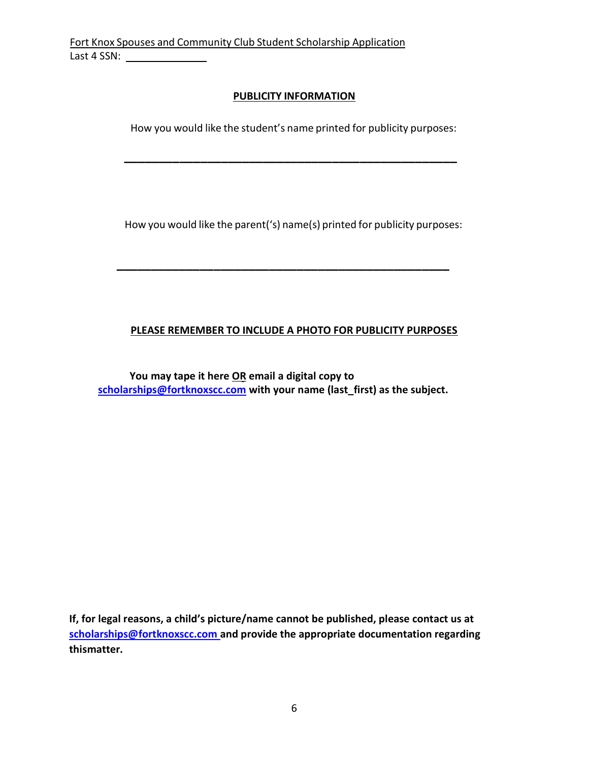### PUBLICITY INFORMATION

How you would like the student's name printed for publicity purposes:

\_\_\_\_\_\_\_\_\_\_\_\_\_\_\_\_\_\_\_\_\_\_\_\_\_\_\_\_\_\_\_\_\_\_\_\_\_\_\_\_\_\_\_\_\_\_\_\_

How you would like the parent('s) name(s) printed for publicity purposes:

### PLEASE REMEMBER TO INCLUDE A PHOTO FOR PUBLICITY PURPOSES

You may tape it here OR email a digital copy to scholarships@fortknoxscc.com with your name (last\_first) as the subject.

\_\_\_\_\_\_\_\_\_\_\_\_\_\_\_\_\_\_\_\_\_\_\_\_\_\_\_\_\_\_\_\_\_\_\_\_\_\_\_\_\_\_\_\_\_\_\_\_

If, for legal reasons, a child's picture/name cannot be published, please contact us at scholarships@fortknoxscc.com and provide the appropriate documentation regarding this matter.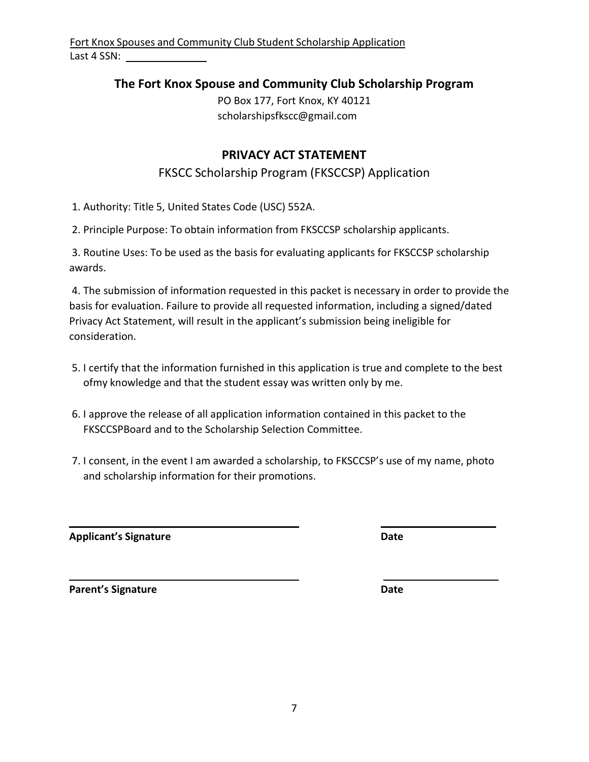### The Fort Knox Spouse and Community Club Scholarship Program

PO Box 177, Fort Knox, KY 40121 scholarshipsfkscc@gmail.com

### PRIVACY ACT STATEMENT

### FKSCC Scholarship Program (FKSCCSP) Application

1. Authority: Title 5, United States Code (USC) 552A.

2. Principle Purpose: To obtain information from FKSCCSP scholarship applicants.

3. Routine Uses: To be used as the basis for evaluating applicants for FKSCCSP scholarship awards.

4. The submission of information requested in this packet is necessary in order to provide the basis for evaluation. Failure to provide all requested information, including a signed/dated Privacy Act Statement, will result in the applicant's submission being ineligible for consideration.

- 5. I certify that the information furnished in this application is true and complete to the best ofmy knowledge and that the student essay was written only by me.
- 6. I approve the release of all application information contained in this packet to the FKSCCSP Board and to the Scholarship Selection Committee.
- 7. I consent, in the event I am awarded a scholarship, to FKSCCSP's use of my name, photo and scholarship information for their promotions.

Applicant's Signature Date Date

Parent's Signature Date Date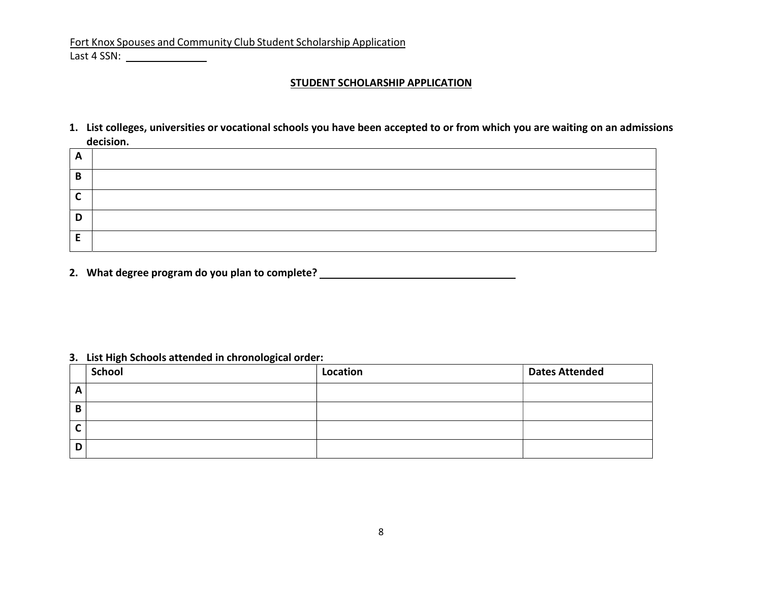#### STUDENT SCHOLARSHIP APPLICATION

1. List colleges, universities or vocational schools you have been accepted to or from which you are waiting on an admissions decision.

| A |  |
|---|--|
| B |  |
| ◠ |  |
| D |  |
| - |  |

2. What degree program do you plan to complete? \_\_\_\_\_\_\_\_\_\_\_\_\_\_\_\_\_\_\_\_\_\_\_\_\_\_\_\_\_\_\_\_

#### 3. List High Schools attended in chronological order:

|   | <b>School</b> | Location | <b>Dates Attended</b> |
|---|---------------|----------|-----------------------|
| A |               |          |                       |
| В |               |          |                       |
| ∼ |               |          |                       |
| D |               |          |                       |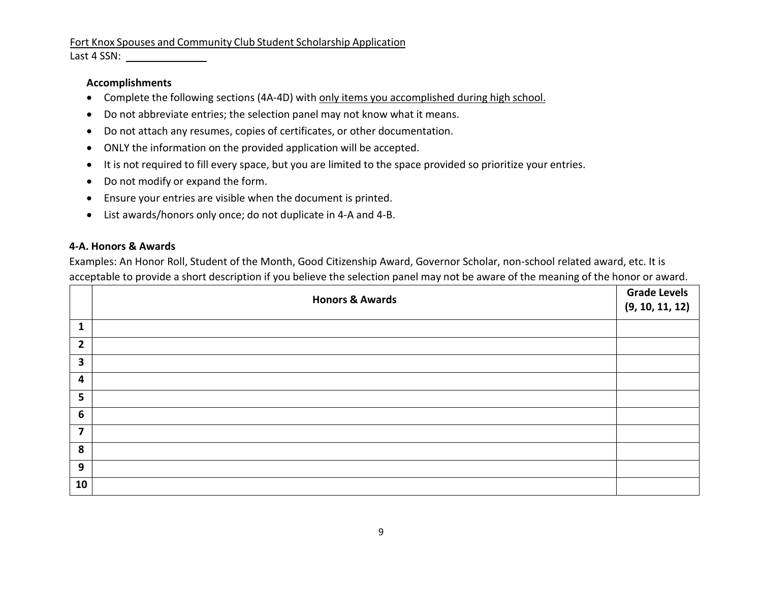#### Accomplishments

- Complete the following sections (4A-4D) with only items you accomplished during high school.
- Do not abbreviate entries; the selection panel may not know what it means.
- Do not attach any resumes, copies of certificates, or other documentation.
- ONLY the information on the provided application will be accepted.
- It is not required to fill every space, but you are limited to the space provided so prioritize your entries.
- Do not modify or expand the form.
- Ensure your entries are visible when the document is printed.
- List awards/honors only once; do not duplicate in 4-A and 4-B.

### 4-A. Honors & Awards

Examples: An Honor Roll, Student of the Month, Good Citizenship Award, Governor Scholar, non-school related award, etc. It is acceptable to provide a short description if you believe the selection panel may not be aware of the meaning of the honor or award.

|                         | <b>Honors &amp; Awards</b> | <b>Grade Levels</b><br>(9, 10, 11, 12) |
|-------------------------|----------------------------|----------------------------------------|
| 1                       |                            |                                        |
| $\overline{2}$          |                            |                                        |
| 3                       |                            |                                        |
| $\overline{\mathbf{4}}$ |                            |                                        |
| 5                       |                            |                                        |
| $6\phantom{1}$          |                            |                                        |
| 7                       |                            |                                        |
| 8                       |                            |                                        |
| 9                       |                            |                                        |
| 10                      |                            |                                        |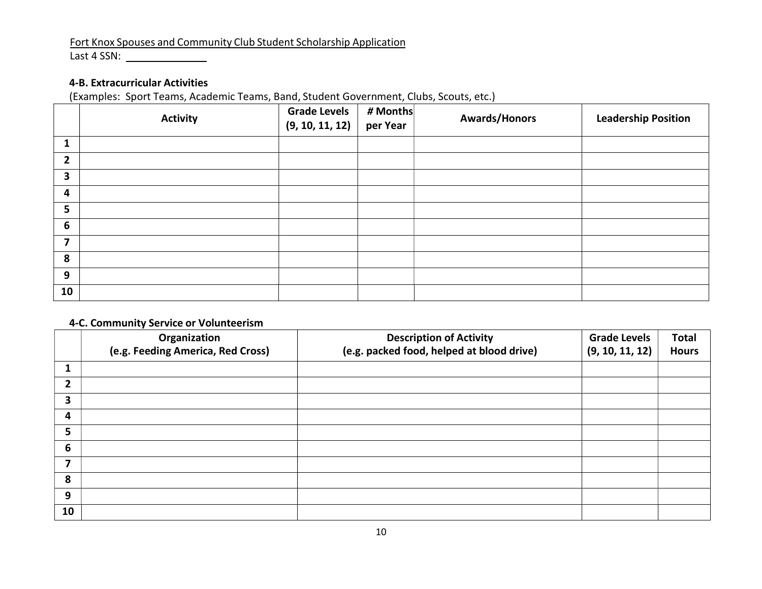Last 4 SSN:

### 4-B. Extracurricular Activities

(Examples: Sport Teams, Academic Teams, Band, Student Government, Clubs, Scouts, etc.)

|                 | <b>Activity</b> | <b>Grade Levels</b><br>(9, 10, 11, 12) | # Months<br>per Year | <b>Awards/Honors</b> | <b>Leadership Position</b> |
|-----------------|-----------------|----------------------------------------|----------------------|----------------------|----------------------------|
| 1               |                 |                                        |                      |                      |                            |
| $\overline{2}$  |                 |                                        |                      |                      |                            |
| 3               |                 |                                        |                      |                      |                            |
| 4               |                 |                                        |                      |                      |                            |
| 5               |                 |                                        |                      |                      |                            |
| $6\phantom{1}6$ |                 |                                        |                      |                      |                            |
| 7               |                 |                                        |                      |                      |                            |
| 8               |                 |                                        |                      |                      |                            |
| 9               |                 |                                        |                      |                      |                            |
| 10 <sub>1</sub> |                 |                                        |                      |                      |                            |

### 4-C. Community Service or Volunteerism

|                          | Organization<br>(e.g. Feeding America, Red Cross) | <b>Description of Activity</b><br>(e.g. packed food, helped at blood drive) | <b>Grade Levels</b><br>(9, 10, 11, 12) | <b>Total</b><br><b>Hours</b> |
|--------------------------|---------------------------------------------------|-----------------------------------------------------------------------------|----------------------------------------|------------------------------|
| 1                        |                                                   |                                                                             |                                        |                              |
| 2                        |                                                   |                                                                             |                                        |                              |
| 3                        |                                                   |                                                                             |                                        |                              |
| 4                        |                                                   |                                                                             |                                        |                              |
| 5                        |                                                   |                                                                             |                                        |                              |
| 6                        |                                                   |                                                                             |                                        |                              |
| $\overline{\phantom{a}}$ |                                                   |                                                                             |                                        |                              |
| 8                        |                                                   |                                                                             |                                        |                              |
| 9                        |                                                   |                                                                             |                                        |                              |
| 10                       |                                                   |                                                                             |                                        |                              |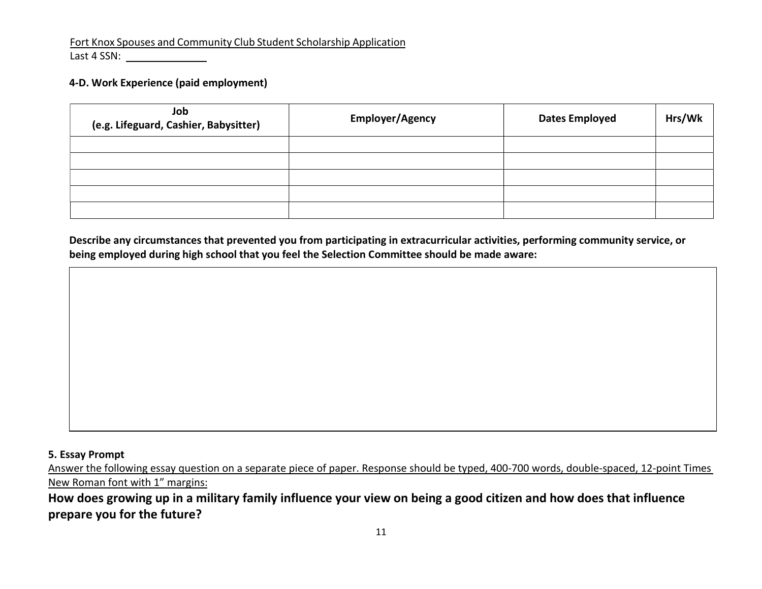#### 4-D. Work Experience (paid employment)

| Job<br>(e.g. Lifeguard, Cashier, Babysitter) | <b>Employer/Agency</b> | <b>Dates Employed</b> | Hrs/Wk |
|----------------------------------------------|------------------------|-----------------------|--------|
|                                              |                        |                       |        |
|                                              |                        |                       |        |
|                                              |                        |                       |        |
|                                              |                        |                       |        |
|                                              |                        |                       |        |

Describe any circumstances that prevented you from participating in extracurricular activities, performing community service, or being employed during high school that you feel the Selection Committee should be made aware:

#### 5. Essay Prompt

Answer the following essay question on a separate piece of paper. Response should be typed, 400-700 words, double-spaced, 12-point Times New Roman font with 1" margins:

How does growing up in a military family influence your view on being a good citizen and how does that influence prepare you for the future?